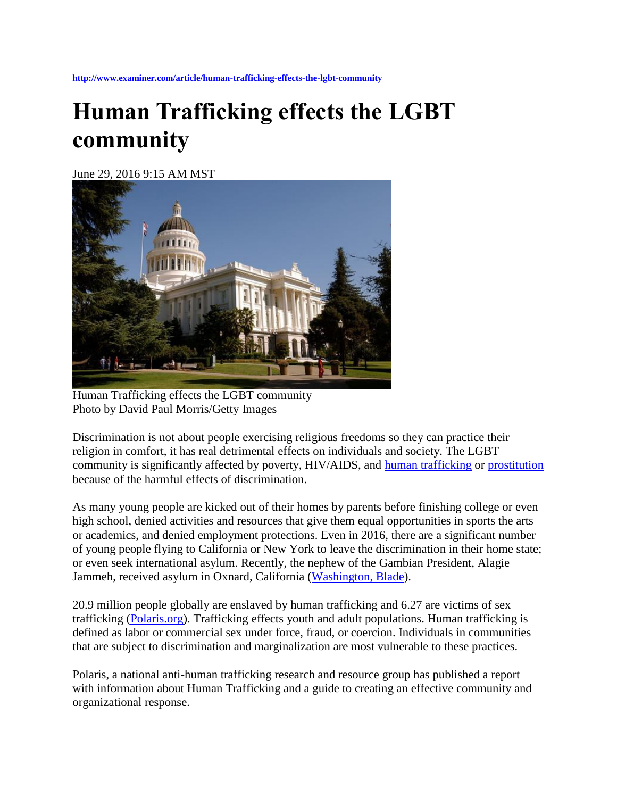## **Human Trafficking effects the LGBT community**

June 29, 2016 9:15 AM MST



Human Trafficking effects the LGBT community Photo by David Paul Morris/Getty Images

Discrimination is not about people exercising religious freedoms so they can practice their religion in comfort, it has real detrimental effects on individuals and society. The LGBT community is significantly affected by poverty, HIV/AIDS, and [human trafficking](http://www.examiner.com/topic/human-trafficking) or [prostitution](http://www.examiner.com/topic/prostitution) because of the harmful effects of discrimination.

As many young people are kicked out of their homes by parents before finishing college or even high school, denied activities and resources that give them equal opportunities in sports the arts or academics, and denied employment protections. Even in 2016, there are a significant number of young people flying to California or New York to leave the discrimination in their home state; or even seek international asylum. Recently, the nephew of the Gambian President, Alagie Jammeh, received asylum in Oxnard, California [\(Washington, Blade\)](http://www.washingtonblade.com/2016/06/09/nephew-of-gambian-president-receives-asylum-in-u-s/#st_refDomain=www.facebook.com&st_refQuery=/).

20.9 million people globally are enslaved by human trafficking and 6.27 are victims of sex trafficking [\(Polaris.org\)](http://polarisproject.org/). Trafficking effects youth and adult populations. Human trafficking is defined as labor or commercial sex under force, fraud, or coercion. Individuals in communities that are subject to discrimination and marginalization are most vulnerable to these practices.

Polaris, a national anti-human trafficking research and resource group has published a report with information about Human Trafficking and a guide to creating an effective community and organizational response.